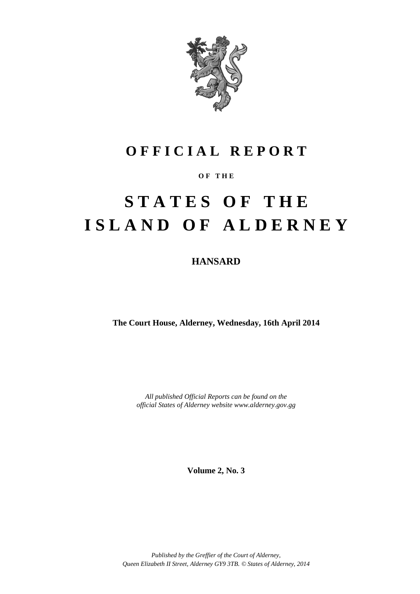

## **O F F I C I A L R E P O R T**

## **O F T H E**

# **S T A T E S O F T H E I S L A N D O F A L D E R N E Y**

## **HANSARD**

**The Court House, Alderney, Wednesday, 16th April 2014**

*All published Official Reports can be found on the official States of Alderney website www.alderney.gov.gg*

**Volume 2, No. 3**

*Published by the Greffier of the Court of Alderney, Queen Elizabeth II Street, Alderney GY9 3TB. © States of Alderney, 2014*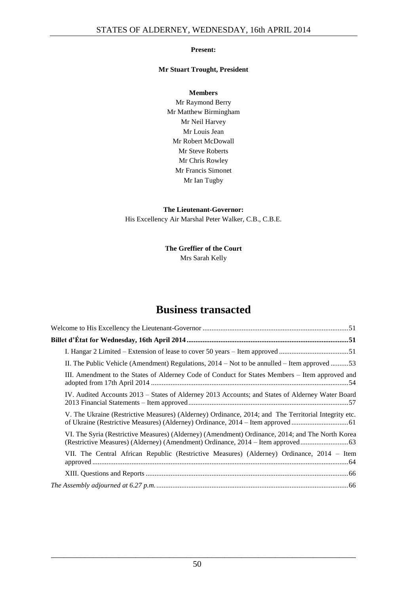## **Present:**

## **Mr Stuart Trought, President**

**Members** Mr Raymond Berry Mr Matthew Birmingham Mr Neil Harvey Mr Louis Jean Mr Robert McDowall Mr Steve Roberts Mr Chris Rowley Mr Francis Simonet Mr Ian Tugby

**The Lieutenant-Governor:** His Excellency Air Marshal Peter Walker, C.B., C.B.E.

> **The Greffier of the Court** Mrs Sarah Kelly

## **Business transacted**

| II. The Public Vehicle (Amendment) Regulations, $2014 - Not$ to be annulled – Item approved 53       |
|------------------------------------------------------------------------------------------------------|
| III. Amendment to the States of Alderney Code of Conduct for States Members – Item approved and      |
| IV. Audited Accounts 2013 – States of Alderney 2013 Accounts; and States of Alderney Water Board     |
| V. The Ukraine (Restrictive Measures) (Alderney) Ordinance, 2014; and The Territorial Integrity etc. |
| VI. The Syria (Restrictive Measures) (Alderney) (Amendment) Ordinance, 2014; and The North Korea     |
| VII. The Central African Republic (Restrictive Measures) (Alderney) Ordinance, 2014 – Item           |
|                                                                                                      |
|                                                                                                      |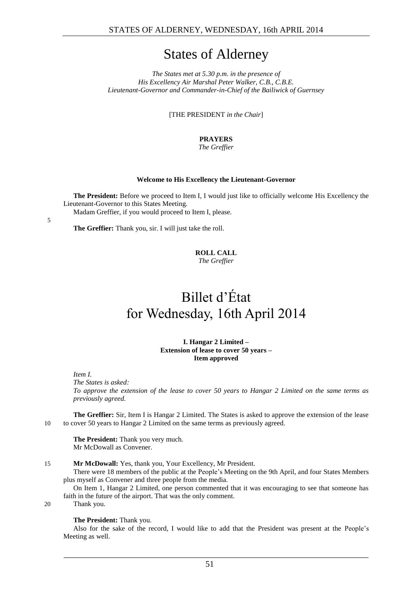## States of Alderney

*The States met at 5.30 p.m. in the presence of His Excellency Air Marshal Peter Walker, C.B., C.B.E. Lieutenant-Governor and Commander-in-Chief of the Bailiwick of Guernsey*

[THE PRESIDENT *in the Chair*]

**PRAYERS** *The Greffier*

#### **Welcome to His Excellency the Lieutenant-Governor**

<span id="page-2-0"></span>**The President:** Before we proceed to Item I, I would just like to officially welcome His Excellency the Lieutenant-Governor to this States Meeting.

Madam Greffier, if you would proceed to Item I, please.

5

**The Greffier:** Thank you, sir. I will just take the roll.

## **ROLL CALL**

*The Greffier*

## <span id="page-2-1"></span>Billet d'État for Wednesday, 16th April 2014

**I. Hangar 2 Limited – Extension of lease to cover 50 years – Item approved**

<span id="page-2-2"></span>*Item I.*

*The States is asked:*

*To approve the extension of the lease to cover 50 years to Hangar 2 Limited on the same terms as previously agreed.*

**The Greffier:** Sir, Item I is Hangar 2 Limited. The States is asked to approve the extension of the lease 10 to cover 50 years to Hangar 2 Limited on the same terms as previously agreed.

**The President:** Thank you very much. Mr McDowall as Convener.

15 **Mr McDowall:** Yes, thank you, Your Excellency, Mr President.

There were 18 members of the public at the People's Meeting on the 9th April, and four States Members plus myself as Convener and three people from the media.

On Item 1, Hangar 2 Limited, one person commented that it was encouraging to see that someone has faith in the future of the airport. That was the only comment.

20 Thank you.

## **The President:** Thank you.

Also for the sake of the record, I would like to add that the President was present at the People's Meeting as well.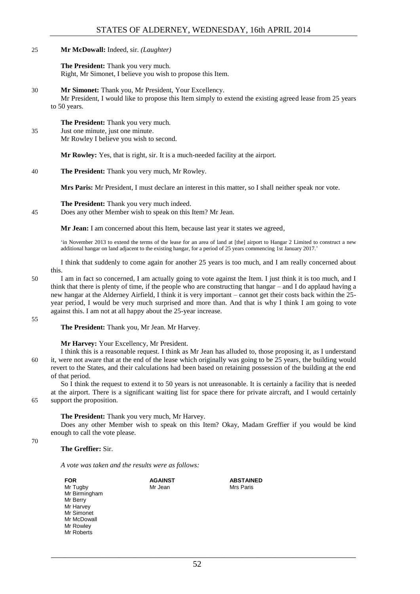## 25 **Mr McDowall:** Indeed, sir. *(Laughter)*

**The President:** Thank you very much. Right, Mr Simonet, I believe you wish to propose this Item.

## 30 **Mr Simonet:** Thank you, Mr President, Your Excellency.

Mr President, I would like to propose this Item simply to extend the existing agreed lease from 25 years to 50 years.

## **The President:** Thank you very much.

35 Just one minute, just one minute.

Mr Rowley I believe you wish to second.

**Mr Rowley:** Yes, that is right, sir. It is a much-needed facility at the airport.

## 40 **The President:** Thank you very much, Mr Rowley.

**Mrs Paris:** Mr President, I must declare an interest in this matter, so I shall neither speak nor vote.

## **The President:** Thank you very much indeed.

45 Does any other Member wish to speak on this Item? Mr Jean.

**Mr Jean:** I am concerned about this Item, because last year it states we agreed,

'in November 2013 to extend the terms of the lease for an area of land at [the] airport to Hangar 2 Limited to construct a new additional hangar on land adjacent to the existing hangar, for a period of 25 years commencing 1st January 2017.'

I think that suddenly to come again for another 25 years is too much, and I am really concerned about this.

50 I am in fact so concerned, I am actually going to vote against the Item. I just think it is too much, and I think that there is plenty of time, if the people who are constructing that hangar – and I do applaud having a new hangar at the Alderney Airfield, I think it is very important – cannot get their costs back within the 25 year period, I would be very much surprised and more than. And that is why I think I am going to vote against this. I am not at all happy about the 25-year increase.

55

**The President:** Thank you, Mr Jean. Mr Harvey.

## **Mr Harvey:** Your Excellency, Mr President.

I think this is a reasonable request. I think as Mr Jean has alluded to, those proposing it, as I understand 60 it, were not aware that at the end of the lease which originally was going to be 25 years, the building would revert to the States, and their calculations had been based on retaining possession of the building at the end of that period.

So I think the request to extend it to 50 years is not unreasonable. It is certainly a facility that is needed at the airport. There is a significant waiting list for space there for private aircraft, and I would certainly 65 support the proposition.

**The President:** Thank you very much, Mr Harvey.

Does any other Member wish to speak on this Item? Okay, Madam Greffier if you would be kind enough to call the vote please.

70

## **The Greffier:** Sir.

*A vote was taken and the results were as follows:*

| <b>FOR</b>    | <b>AGAINST</b> | <b>ABSTAINED</b> |
|---------------|----------------|------------------|
| Mr Tugby      | Mr Jean        | Mrs Paris        |
| Mr Birmingham |                |                  |
| Mr Berry      |                |                  |
| Mr Harvey     |                |                  |
| Mr Simonet    |                |                  |
| Mr McDowall   |                |                  |
| Mr Rowley     |                |                  |
| Mr Roberts    |                |                  |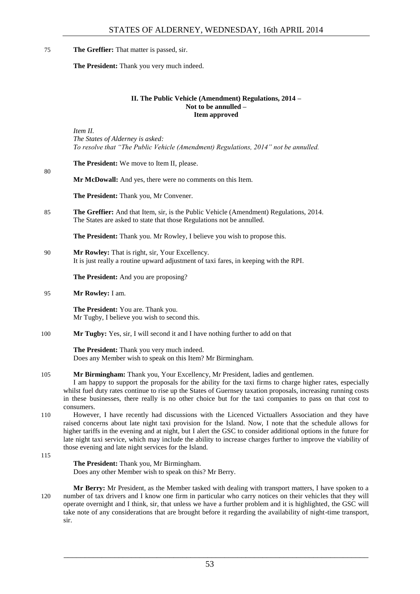75 **The Greffier:** That matter is passed, sir.

<span id="page-4-0"></span>**The President:** Thank you very much indeed.

## **II. The Public Vehicle (Amendment) Regulations, 2014 – Not to be annulled – Item approved**

*Item II. The States of Alderney is asked: To resolve that "The Public Vehicle (Amendment) Regulations, 2014" not be annulled.*

**The President:** We move to Item II, please.

## **Mr McDowall:** And yes, there were no comments on this Item.

**The President:** Thank you, Mr Convener.

85 **The Greffier:** And that Item, sir, is the Public Vehicle (Amendment) Regulations, 2014. The States are asked to state that those Regulations not be annulled.

**The President:** Thank you. Mr Rowley, I believe you wish to propose this.

90 **Mr Rowley:** That is right, sir, Your Excellency. It is just really a routine upward adjustment of taxi fares, in keeping with the RPI.

**The President:** And you are proposing?

95 **Mr Rowley:** I am.

**The President:** You are. Thank you. Mr Tugby, I believe you wish to second this.

100 **Mr Tugby:** Yes, sir, I will second it and I have nothing further to add on that

**The President:** Thank you very much indeed. Does any Member wish to speak on this Item? Mr Birmingham.

105 **Mr Birmingham:** Thank you, Your Excellency, Mr President, ladies and gentlemen.

I am happy to support the proposals for the ability for the taxi firms to charge higher rates, especially whilst fuel duty rates continue to rise up the States of Guernsey taxation proposals, increasing running costs in these businesses, there really is no other choice but for the taxi companies to pass on that cost to consumers.

- 110 However, I have recently had discussions with the Licenced Victuallers Association and they have raised concerns about late night taxi provision for the Island. Now, I note that the schedule allows for higher tariffs in the evening and at night, but I alert the GSC to consider additional options in the future for late night taxi service, which may include the ability to increase charges further to improve the viability of those evening and late night services for the Island.
- 115

80

**The President:** Thank you, Mr Birmingham. Does any other Member wish to speak on this? Mr Berry.

**Mr Berry:** Mr President, as the Member tasked with dealing with transport matters, I have spoken to a 120 number of tax drivers and I know one firm in particular who carry notices on their vehicles that they will operate overnight and I think, sir, that unless we have a further problem and it is highlighted, the GSC will take note of any considerations that are brought before it regarding the availability of night-time transport, sir.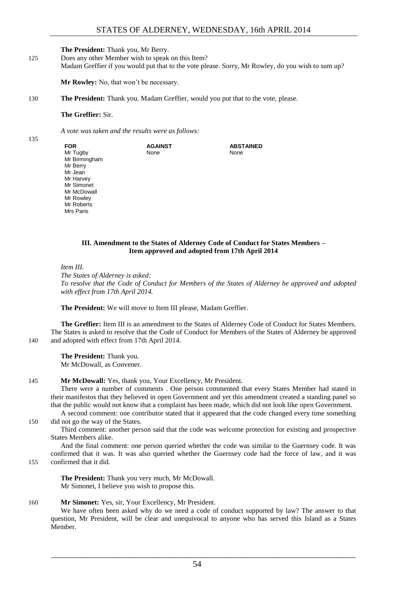## **The President:** Thank you, Mr Berry.

125 Does any other Member wish to speak on this Item? Madam Greffier if you would put that to the vote please. Sorry, Mr Rowley, do you wish to sum up?

**Mr Rowley:** No, that won't be necessary.

130 **The President:** Thank you. Madam Greffier, would you put that to the vote, please.

#### **The Greffier:** Sir.

135

*A vote was taken and the results were as follows:*

| Mrs Paris |
|-----------|
|-----------|

#### **III. Amendment to the States of Alderney Code of Conduct for States Members – Item approved and adopted from 17th April 2014**

```
Item III.
```
*The States of Alderney is asked: To resolve that the Code of Conduct for Members of the States of Alderney be approved and adopted with effect from 17th April 2014.*

**The President:** We will move to Item III please, Madam Greffier.

**The Greffier:** Item III is an amendment to the States of Alderney Code of Conduct for States Members. The States is asked to resolve that the Code of Conduct for Members of the States of Alderney be approved 140 and adopted with effect from 17th April 2014.

**The President:** Thank you. Mr McDowall, as Convener.

## 145 **Mr McDowall:** Yes, thank you, Your Excellency, Mr President.

There were a number of comments . One person commented that every States Member had stated in their manifestos that they believed in open Government and yet this amendment created a standing panel so that the public would not know that a complaint has been made, which did not look like open Government.

A second comment: one contributor stated that it appeared that the code changed every time something 150 did not go the way of the States.

Third comment: another person said that the code was welcome protection for existing and prospective States Members alike.

And the final comment: one person queried whether the code was similar to the Guernsey code. It was confirmed that it was. It was also queried whether the Guernsey code had the force of law, and it was

155 confirmed that it did.

**The President:** Thank you very much, Mr McDowall. Mr Simonet, I believe you wish to propose this.

## 160 **Mr Simonet:** Yes, sir, Your Excellency, Mr President.

We have often been asked why do we need a code of conduct supported by law? The answer to that question, Mr President, will be clear and unequivocal to anyone who has served this Island as a States Member.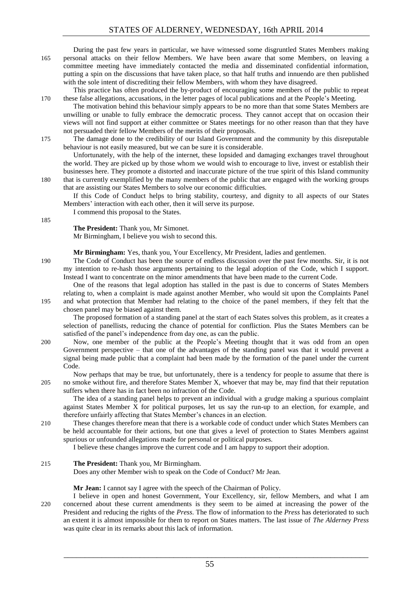During the past few years in particular, we have witnessed some disgruntled States Members making 165 personal attacks on their fellow Members. We have been aware that some Members, on leaving a committee meeting have immediately contacted the media and disseminated confidential information, putting a spin on the discussions that have taken place, so that half truths and innuendo are then published with the sole intent of discrediting their fellow Members, with whom they have disagreed.

This practice has often produced the by-product of encouraging some members of the public to repeat 170 these false allegations, accusations, in the letter pages of local publications and at the People's Meeting.

The motivation behind this behaviour simply appears to be no more than that some States Members are unwilling or unable to fully embrace the democratic process. They cannot accept that on occasion their views will not find support at either committee or States meetings for no other reason than that they have not persuaded their fellow Members of the merits of their proposals.

175 The damage done to the credibility of our Island Government and the community by this disreputable behaviour is not easily measured, but we can be sure it is considerable.

Unfortunately, with the help of the internet, these lopsided and damaging exchanges travel throughout the world. They are picked up by those whom we would wish to encourage to live, invest or establish their businesses here. They promote a distorted and inaccurate picture of the true spirit of this Island community 180 that is currently exemplified by the many members of the public that are engaged with the working groups that are assisting our States Members to solve our economic difficulties.

If this Code of Conduct helps to bring stability, courtesy, and dignity to all aspects of our States Members' interaction with each other, then it will serve its purpose.

I commend this proposal to the States.

#### **The President:** Thank you, Mr Simonet.

Mr Birmingham, I believe you wish to second this.

**Mr Birmingham:** Yes, thank you, Your Excellency, Mr President, ladies and gentlemen.

190 The Code of Conduct has been the source of endless discussion over the past few months. Sir, it is not my intention to re-hash those arguments pertaining to the legal adoption of the Code, which I support. Instead I want to concentrate on the minor amendments that have been made to the current Code.

One of the reasons that legal adoption has stalled in the past is due to concerns of States Members relating to, when a complaint is made against another Member, who would sit upon the Complaints Panel 195 and what protection that Member had relating to the choice of the panel members, if they felt that the

chosen panel may be biased against them.

The proposed formation of a standing panel at the start of each States solves this problem, as it creates a selection of panellists, reducing the chance of potential for confliction. Plus the States Members can be satisfied of the panel's independence from day one, as can the public.

200 Now, one member of the public at the People's Meeting thought that it was odd from an open Government perspective – that one of the advantages of the standing panel was that it would prevent a signal being made public that a complaint had been made by the formation of the panel under the current Code.

Now perhaps that may be true, but unfortunately, there is a tendency for people to assume that there is 205 no smoke without fire, and therefore States Member X, whoever that may be, may find that their reputation suffers when there has in fact been no infraction of the Code.

The idea of a standing panel helps to prevent an individual with a grudge making a spurious complaint against States Member X for political purposes, let us say the run-up to an election, for example, and therefore unfairly affecting that States Member's chances in an election.

210 These changes therefore mean that there is a workable code of conduct under which States Members can be held accountable for their actions, but one that gives a level of protection to States Members against spurious or unfounded allegations made for personal or political purposes.

I believe these changes improve the current code and I am happy to support their adoption.

## 215 **The President:** Thank you, Mr Birmingham.

Does any other Member wish to speak on the Code of Conduct? Mr Jean.

## **Mr Jean:** I cannot say I agree with the speech of the Chairman of Policy.

I believe in open and honest Government, Your Excellency, sir, fellow Members, and what I am 220 concerned about these current amendments is they seem to be aimed at increasing the power of the President and reducing the rights of the *Press*. The flow of information to the *Press* has deteriorated to such an extent it is almost impossible for them to report on States matters. The last issue of *The Alderney Press* was quite clear in its remarks about this lack of information.

55

\_\_\_\_\_\_\_\_\_\_\_\_\_\_\_\_\_\_\_\_\_\_\_\_\_\_\_\_\_\_\_\_\_\_\_\_\_\_\_\_\_\_\_\_\_\_\_\_\_\_\_\_\_\_\_\_\_\_\_\_\_\_\_\_\_\_\_\_\_\_\_\_

185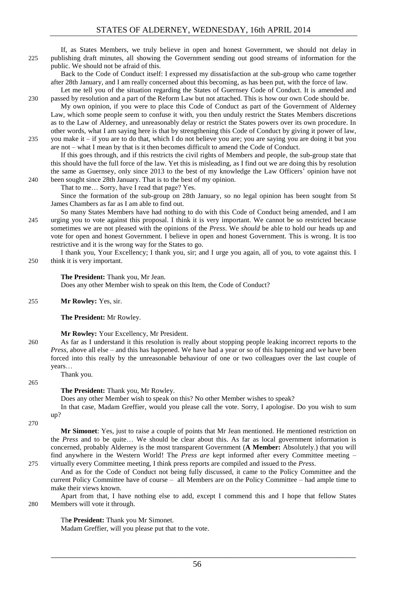## If, as States Members, we truly believe in open and honest Government, we should not delay in 225 publishing draft minutes, all showing the Government sending out good streams of information for the public. We should not be afraid of this.

Back to the Code of Conduct itself: I expressed my dissatisfaction at the sub-group who came together after 28th January, and I am really concerned about this becoming, as has been put, with the force of law.

Let me tell you of the situation regarding the States of Guernsey Code of Conduct. It is amended and 230 passed by resolution and a part of the Reform Law but not attached. This is how our own Code should be.

My own opinion, if you were to place this Code of Conduct as part of the Government of Alderney Law, which some people seem to confuse it with, you then unduly restrict the States Members discretions as to the Law of Alderney, and unreasonably delay or restrict the States powers over its own procedure. In other words, what I am saying here is that by strengthening this Code of Conduct by giving it power of law, 235 you make it – if you are to do that, which I do not believe you are; you are saying you are doing it but you

are not – what I mean by that is it then becomes difficult to amend the Code of Conduct. If this goes through, and if this restricts the civil rights of Members and people, the sub-group state that this should have the full force of the law. Yet this is misleading, as I find out we are doing this by resolution the same as Guernsey, only since 2013 to the best of my knowledge the Law Officers' opinion have not 240 been sought since 28th January. That is to the best of my opinion.

That to me… Sorry, have I read that page? Yes.

Since the formation of the sub-group on 28th January, so no legal opinion has been sought from St James Chambers as far as I am able to find out.

So many States Members have had nothing to do with this Code of Conduct being amended, and I am 245 urging you to vote against this proposal. I think it is very important. We cannot be so restricted because sometimes we are not pleased with the opinions of the *Press*. We *should* be able to hold our heads up and vote for open and honest Government. I believe in open and honest Government. This is wrong. It is too restrictive and it is the wrong way for the States to go.

I thank you, Your Excellency; I thank you, sir; and I urge you again, all of you, to vote against this. I 250 think it is very important.

#### **The President:** Thank you, Mr Jean.

Does any other Member wish to speak on this Item, the Code of Conduct?

255 **Mr Rowley:** Yes, sir.

#### **The President:** Mr Rowley.

#### **Mr Rowley:** Your Excellency, Mr President.

260 As far as I understand it this resolution is really about stopping people leaking incorrect reports to the *Press*, above all else – and this has happened. We have had a year or so of this happening and we have been forced into this really by the unreasonable behaviour of one or two colleagues over the last couple of years…

Thank you.

## **The President:** Thank you, Mr Rowley.

Does any other Member wish to speak on this? No other Member wishes to speak?

In that case, Madam Greffier, would you please call the vote. Sorry, I apologise. Do you wish to sum up?

270

265

**Mr Simonet**: Yes, just to raise a couple of points that Mr Jean mentioned. He mentioned restriction on the *Press* and to be quite… We should be clear about this. As far as local government information is concerned, probably Alderney is the most transparent Government (**A Member:** Absolutely.) that you will find anywhere in the Western World! The *Press are* kept informed after every Committee meeting – 275 virtually every Committee meeting, I think press reports are compiled and issued to the *Press*.

And as for the Code of Conduct not being fully discussed, it came to the Policy Committee and the current Policy Committee have of course – all Members are on the Policy Committee – had ample time to make their views known.

Apart from that, I have nothing else to add, except I commend this and I hope that fellow States 280 Members will vote it through.

## Th**e President:** Thank you Mr Simonet.

Madam Greffier, will you please put that to the vote.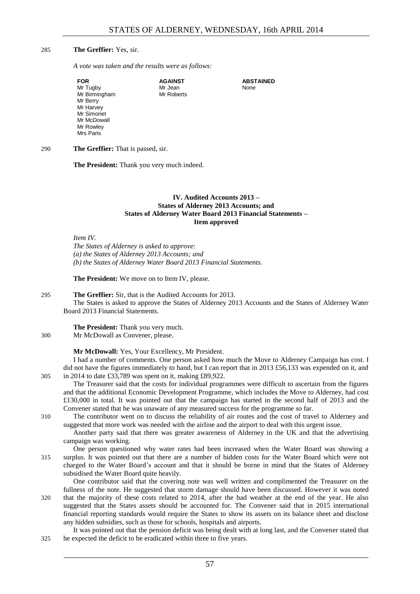## 285 **The Greffier:** Yes, sir.

*A vote was taken and the results were as follows:*

| <b>FOR</b>    | <b>AGAINST</b> | <b>ABSTAINED</b> |
|---------------|----------------|------------------|
| Mr Tugby      | Mr Jean        | None             |
| Mr Birmingham | Mr Roberts     |                  |
| Mr Berry      |                |                  |
| Mr Harvey     |                |                  |
| Mr Simonet    |                |                  |
| Mr McDowall   |                |                  |
| Mr Rowley     |                |                  |
| Mrs Paris     |                |                  |

290 **The Greffier:** That is passed, sir.

<span id="page-8-0"></span>**The President:** Thank you very much indeed.

## **IV. Audited Accounts 2013 – States of Alderney 2013 Accounts; and States of Alderney Water Board 2013 Financial Statements – Item approved**

#### *Item IV.*

*The States of Alderney is asked to approve: (a) the States of Alderney 2013 Accounts; and (b) the States of Alderney Water Board 2013 Financial Statements.*

**The President:** We move on to Item IV, please.

#### 295 **The Greffier:** Sir, that is the Audited Accounts for 2013.

The States is asked to approve the States of Alderney 2013 Accounts and the States of Alderney Water Board 2013 Financial Statements.

**The President:** Thank you very much.

## 300 Mr McDowall as Convener, please.

## **Mr McDowall:** Yes, Your Excellency, Mr President.

I had a number of comments. One person asked how much the Move to Alderney Campaign has cost. I did not have the figures immediately to hand, but I can report that in 2013 £56,133 was expended on it, and 305 in 2014 to date £33,789 was spent on it, making £89,922.

The Treasurer said that the costs for individual programmes were difficult to ascertain from the figures and that the additional Economic Development Programme, which includes the Move to Alderney, had cost £130,000 in total. It was pointed out that the campaign has started in the second half of 2013 and the Convener stated that he was unaware of any measured success for the programme so far.

310 The contributor went on to discuss the reliability of air routes and the cost of travel to Alderney and suggested that more work was needed with the airline and the airport to deal with this urgent issue.

Another party said that there was greater awareness of Alderney in the UK and that the advertising campaign was working.

One person questioned why water rates had been increased when the Water Board was showing a 315 surplus. It was pointed out that there are a number of hidden costs for the Water Board which were not charged to the Water Board's account and that it should be borne in mind that the States of Alderney subsidised the Water Board quite heavily.

One contributor said that the covering note was well written and complimented the Treasurer on the fullness of the note. He suggested that storm damage should have been discussed. However it was noted 320 that the majority of these costs related to 2014, after the bad weather at the end of the year. He also suggested that the States assets should be accounted for. The Convener said that in 2015 international financial reporting standards would require the States to show its assets on its balance sheet and disclose any hidden subsidies, such as those for schools, hospitals and airports.

It was pointed out that the pension deficit was being dealt with at long last, and the Convener stated that 325 he expected the deficit to be eradicated within three to five years.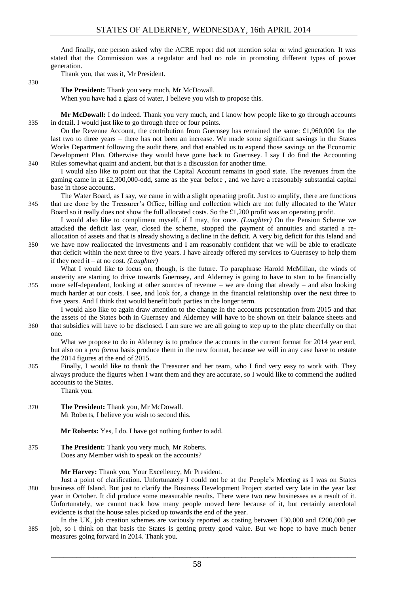And finally, one person asked why the ACRE report did not mention solar or wind generation. It was stated that the Commission was a regulator and had no role in promoting different types of power generation.

Thank you, that was it, Mr President.

330

## **The President:** Thank you very much, Mr McDowall.

When you have had a glass of water, I believe you wish to propose this.

**Mr McDowall:** I do indeed. Thank you very much, and I know how people like to go through accounts 335 in detail. I would just like to go through three or four points.

On the Revenue Account, the contribution from Guernsey has remained the same: £1,960,000 for the last two to three years – there has not been an increase. We made some significant savings in the States Works Department following the audit there, and that enabled us to expend those savings on the Economic Development Plan. Otherwise they would have gone back to Guernsey. I say I do find the Accounting 340 Rules somewhat quaint and ancient, but that is a discussion for another time.

I would also like to point out that the Capital Account remains in good state. The revenues from the gaming came in at £2,300,000-odd, same as the year before , and we have a reasonably substantial capital base in those accounts.

The Water Board, as I say, we came in with a slight operating profit. Just to amplify, there are functions 345 that are done by the Treasurer's Office, billing and collection which are not fully allocated to the Water Board so it really does not show the full allocated costs. So the £1,200 profit was an operating profit.

I would also like to compliment myself, if I may, for once. *(Laughter)* On the Pension Scheme we attacked the deficit last year, closed the scheme, stopped the payment of annuities and started a reallocation of assets and that is already showing a decline in the deficit. A very big deficit for this Island and 350 we have now reallocated the investments and I am reasonably confident that we will be able to eradicate

that deficit within the next three to five years. I have already offered my services to Guernsey to help them if they need it – at no cost. *(Laughter)*

What I would like to focus on, though, is the future. To paraphrase Harold McMillan, the winds of austerity are starting to drive towards Guernsey, and Alderney is going to have to start to be financially 355 more self-dependent, looking at other sources of revenue – we are doing that already – and also looking much harder at our costs. I see, and look for, a change in the financial relationship over the next three to five years. And I think that would benefit both parties in the longer term.

I would also like to again draw attention to the change in the accounts presentation from 2015 and that the assets of the States both in Guernsey and Alderney will have to be shown on their balance sheets and 360 that subsidies will have to be disclosed. I am sure we are all going to step up to the plate cheerfully on that one.

What we propose to do in Alderney is to produce the accounts in the current format for 2014 year end, but also on a *pro forma* basis produce them in the new format, because we will in any case have to restate the 2014 figures at the end of 2015.

365 Finally, I would like to thank the Treasurer and her team, who I find very easy to work with. They always produce the figures when I want them and they are accurate, so I would like to commend the audited accounts to the States.

Thank you.

370 **The President:** Thank you, Mr McDowall. Mr Roberts, I believe you wish to second this.

**Mr Roberts:** Yes, I do. I have got nothing further to add.

375 **The President:** Thank you very much, Mr Roberts. Does any Member wish to speak on the accounts?

**Mr Harvey:** Thank you, Your Excellency, Mr President.

- Just a point of clarification. Unfortunately I could not be at the People's Meeting as I was on States 380 business off Island. But just to clarify the Business Development Project started very late in the year last year in October. It did produce some measurable results. There were two new businesses as a result of it. Unfortunately, we cannot track how many people moved here because of it, but certainly anecdotal evidence is that the house sales picked up towards the end of the year.
- In the UK, job creation schemes are variously reported as costing between £30,000 and £200,000 per 385 job, so I think on that basis the States is getting pretty good value. But we hope to have much better measures going forward in 2014. Thank you.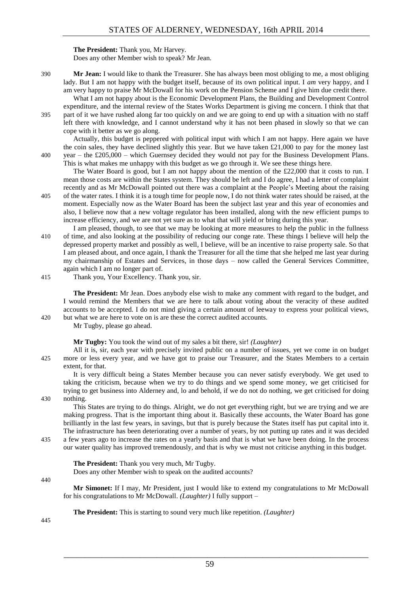## **The President:** Thank you, Mr Harvey.

Does any other Member wish to speak? Mr Jean.

390 **Mr Jean:** I would like to thank the Treasurer. She has always been most obliging to me, a most obliging lady. But I am not happy with the budget itself, because of its own political input. I *am* very happy, and I am very happy to praise Mr McDowall for his work on the Pension Scheme and I give him due credit there.

What I am not happy about is the Economic Development Plans, the Building and Development Control expenditure, and the internal review of the States Works Department is giving me concern. I think that that 395 part of it we have rushed along far too quickly on and we are going to end up with a situation with no staff left there with knowledge, and I cannot understand why it has not been phased in slowly so that we can cope with it better as we go along.

Actually, this budget is peppered with political input with which I am not happy. Here again we have the coin sales, they have declined slightly this year. But we have taken £21,000 to pay for the money last 400 year – the £205,000 – which Guernsey decided they would not pay for the Business Development Plans. This is what makes me unhappy with this budget as we go through it. We see these things here.

The Water Board is good, but I am not happy about the mention of the £22,000 that it costs to run. I mean those costs are within the States system. They should be left and I do agree, I had a letter of complaint recently and as Mr McDowall pointed out there was a complaint at the People's Meeting about the raising 405 of the water rates. I think it is a tough time for people now, I do not think water rates should be raised, at the

- moment. Especially now as the Water Board has been the subject last year and this year of economies and also, I believe now that a new voltage regulator has been installed, along with the new efficient pumps to increase efficiency, and we are not yet sure as to what that will yield or bring during this year.
- I am pleased, though, to see that we may be looking at more measures to help the public in the fullness 410 of time, and also looking at the possibility of reducing our conge rate. These things I believe will help the depressed property market and possibly as well, I believe, will be an incentive to raise property sale. So that I am pleased about, and once again, I thank the Treasurer for all the time that she helped me last year during my chairmanship of Estates and Services, in those days – now called the General Services Committee, again which I am no longer part of.
- 415 Thank you, Your Excellency. Thank you, sir.

**The President:** Mr Jean. Does anybody else wish to make any comment with regard to the budget, and I would remind the Members that we are here to talk about voting about the veracity of these audited accounts to be accepted. I do not mind giving a certain amount of leeway to express your political views, 420 but what we are here to vote on is are these the correct audited accounts.

Mr Tugby, please go ahead.

**Mr Tugby:** You took the wind out of my sales a bit there, sir! *(Laughter)*

All it is, sir, each year with precisely invited public on a number of issues, yet we come in on budget 425 more or less every year, and we have got to praise our Treasurer, and the States Members to a certain extent, for that.

It is very difficult being a States Member because you can never satisfy everybody. We get used to taking the criticism, because when we try to do things and we spend some money, we get criticised for trying to get business into Alderney and, lo and behold, if we do not do nothing, we get criticised for doing 430 nothing.

This States are trying to do things. Alright, we do not get everything right, but we are trying and we are making progress. That is the important thing about it. Basically these accounts, the Water Board has gone brilliantly in the last few years, in savings, but that is purely because the States itself has put capital into it. The infrastructure has been deteriorating over a number of years, by not putting up rates and it was decided

435 a few years ago to increase the rates on a yearly basis and that is what we have been doing. In the process our water quality has improved tremendously, and that is why we must not criticise anything in this budget.

**The President:** Thank you very much, Mr Tugby.

Does any other Member wish to speak on the audited accounts?

#### 440

**Mr Simonet:** If I may, Mr President, just I would like to extend my congratulations to Mr McDowall for his congratulations to Mr McDowall. *(Laughter)* I fully support –

**The President:** This is starting to sound very much like repetition. *(Laughter)* 

445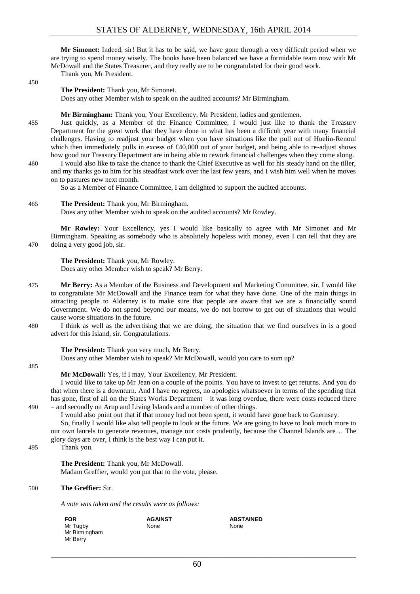**Mr Simonet:** Indeed, sir! But it has to be said, we have gone through a very difficult period when we are trying to spend money wisely. The books have been balanced we have a formidable team now with Mr McDowall and the States Treasurer, and they really are to be congratulated for their good work. Thank you, Mr President.

450

#### **The President:** Thank you, Mr Simonet.

Does any other Member wish to speak on the audited accounts? Mr Birmingham.

**Mr Birmingham:** Thank you, Your Excellency, Mr President, ladies and gentlemen.

455 Just quickly, as a Member of the Finance Committee, I would just like to thank the Treasury Department for the great work that they have done in what has been a difficult year with many financial challenges. Having to readjust your budget when you have situations like the pull out of Huelin-Renouf which then immediately pulls in excess of £40,000 out of your budget, and being able to re-adjust shows how good our Treasury Department are in being able to rework financial challenges when they come along.

460 I would also like to take the chance to thank the Chief Executive as well for his steady hand on the tiller, and my thanks go to him for his steadfast work over the last few years, and I wish him well when he moves on to pastures new next month.

So as a Member of Finance Committee, I am delighted to support the audited accounts.

#### 465 **The President:** Thank you, Mr Birmingham.

Does any other Member wish to speak on the audited accounts? Mr Rowley.

**Mr Rowley:** Your Excellency, yes I would like basically to agree with Mr Simonet and Mr Birmingham. Speaking as somebody who is absolutely hopeless with money, even I can tell that they are 470 doing a very good job, sir.

**The President:** Thank you, Mr Rowley. Does any other Member wish to speak? Mr Berry.

- 475 **Mr Berry:** As a Member of the Business and Development and Marketing Committee, sir, I would like to congratulate Mr McDowall and the Finance team for what they have done. One of the main things in attracting people to Alderney is to make sure that people are aware that we are a financially sound Government. We do not spend beyond our means, we do not borrow to get out of situations that would cause worse situations in the future.
- 480 I think as well as the advertising that we are doing, the situation that we find ourselves in is a good advert for this Island, sir. Congratulations.

**The President:** Thank you very much, Mr Berry.

Does any other Member wish to speak? Mr McDowall, would you care to sum up?

485

## **Mr McDowall:** Yes, if I may, Your Excellency, Mr President.

I would like to take up Mr Jean on a couple of the points. You have to invest to get returns. And you do that when there is a downturn. And I have no regrets, no apologies whatsoever in terms of the spending that has gone, first of all on the States Works Department – it was long overdue, there were costs reduced there 490 – and secondly on Arup and Living Islands and a number of other things.

I would also point out that if that money had not been spent, it would have gone back to Guernsey.

So, finally I would like also tell people to look at the future. We are going to have to look much more to our own laurels to generate revenues, manage our costs prudently, because the Channel Islands are… The glory days are over, I think is the best way I can put it.

495 Thank you.

**The President:** Thank you, Mr McDowall. Madam Greffier, would you put that to the vote, please.

> **AGAINST** None

#### 500 **The Greffier:** Sir.

*A vote was taken and the results were as follows:*

| FOR           |  |
|---------------|--|
| Mr Tugby      |  |
| Mr Birmingham |  |
| Mr Berry      |  |

**ABSTAINED** None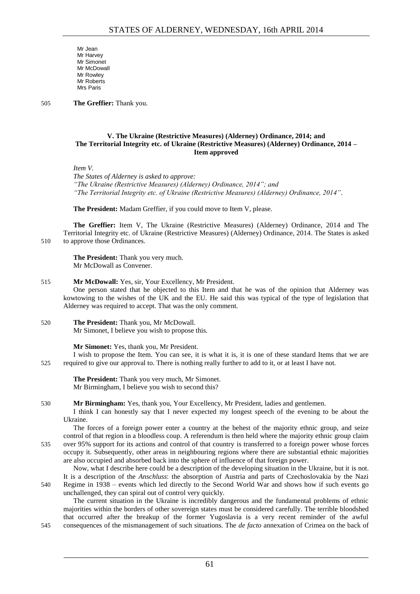Mr Jean Mr Harvey Mr Simonet Mr McDowall Mr Rowley Mr Roberts Mrs Paris

505 **The Greffier:** Thank you.

## <span id="page-12-0"></span>**V. The Ukraine (Restrictive Measures) (Alderney) Ordinance, 2014; and The Territorial Integrity etc. of Ukraine (Restrictive Measures) (Alderney) Ordinance, 2014 – Item approved**

*Item V.*

*The States of Alderney is asked to approve: "The Ukraine (Restrictive Measures) (Alderney) Ordinance, 2014"; and "The Territorial Integrity etc. of Ukraine (Restrictive Measures) (Alderney) Ordinance, 2014".*

**The President:** Madam Greffier, if you could move to Item V, please.

**The Greffier:** Item V, The Ukraine (Restrictive Measures) (Alderney) Ordinance, 2014 and The Territorial Integrity etc. of Ukraine (Restrictive Measures) (Alderney) Ordinance, 2014. The States is asked 510 to approve those Ordinances.

**The President:** Thank you very much. Mr McDowall as Convener.

## 515 **Mr McDowall:** Yes, sir, Your Excellency, Mr President.

One person stated that he objected to this Item and that he was of the opinion that Alderney was kowtowing to the wishes of the UK and the EU. He said this was typical of the type of legislation that Alderney was required to accept. That was the only comment.

#### 520 **The President:** Thank you, Mr McDowall. Mr Simonet, I believe you wish to propose this.

**Mr Simonet:** Yes, thank you, Mr President.

I wish to propose the Item. You can see, it is what it is, it is one of these standard Items that we are 525 required to give our approval to. There is nothing really further to add to it, or at least I have not.

**The President:** Thank you very much, Mr Simonet. Mr Birmingham, I believe you wish to second this?

530 **Mr Birmingham:** Yes, thank you, Your Excellency, Mr President, ladies and gentlemen.

I think I can honestly say that I never expected my longest speech of the evening to be about the Ukraine.

The forces of a foreign power enter a country at the behest of the majority ethnic group, and seize control of that region in a bloodless coup. A referendum is then held where the majority ethnic group claim 535 over 95% support for its actions and control of that country is transferred to a foreign power whose forces occupy it. Subsequently, other areas in neighbouring regions where there are substantial ethnic majorities are also occupied and absorbed back into the sphere of influence of that foreign power.

Now, what I describe here could be a description of the developing situation in the Ukraine, but it is not. It is a description of the *Anschluss*: the absorption of Austria and parts of Czechoslovakia by the Nazi 540 Regime in 1938 – events which led directly to the Second World War and shows how if such events go unchallenged, they can spiral out of control very quickly.

The current situation in the Ukraine is incredibly dangerous and the fundamental problems of ethnic majorities within the borders of other sovereign states must be considered carefully. The terrible bloodshed that occurred after the breakup of the former Yugoslavia is a very recent reminder of the awful 545 consequences of the mismanagement of such situations. The *de facto* annexation of Crimea on the back of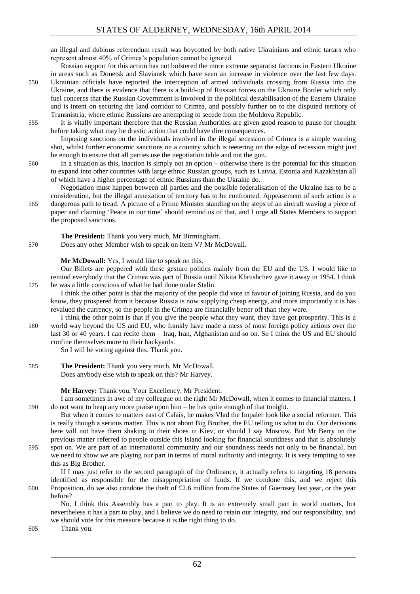an illegal and dubious referendum result was boycotted by both native Ukrainians and ethnic tartars who represent almost 40% of Crimea's population cannot be ignored.

Russian support for this action has not bolstered the more extreme separatist factions in Eastern Ukraine in areas such as Donetsk and Slaviansk which have seen an increase in violence over the last few days.

550 Ukrainian officials have reported the interception of armed individuals crossing from Russia into the Ukraine, and there is evidence that there is a build-up of Russian forces on the Ukraine Border which only fuel concerns that the Russian Government is involved in the political destabilisation of the Eastern Ukraine and is intent on securing the land corridor to Crimea, and possibly further on to the disputed territory of Transnistria, where ethnic Russians are attempting to secede from the Moldova Republic.

555 It is vitally important therefore that the Russian Authorities are given good reason to pause for thought before taking what may be drastic action that could have dire consequences.

Imposing sanctions on the individuals involved in the illegal secession of Crimea is a simple warning shot, whilst further economic sanctions on a country which is teetering on the edge of recession might just be enough to ensure that all parties use the negotiation table and not the gun.

560 In a situation as this, inaction is simply not an option – otherwise there is the potential for this situation to expand into other countries with large ethnic Russian groups, such as Latvia, Estonia and Kazakhstan all of which have a higher percentage of ethnic Russians than the Ukraine do.

Negotiation must happen between all parties and the possible federalisation of the Ukraine has to be a consideration, but the illegal annexation of territory has to be confronted. Appeasement of such action is a 565 dangerous path to tread. A picture of a Prime Minister standing on the steps of an aircraft waving a piece of paper and claiming 'Peace in our time' should remind us of that, and I urge all States Members to support the proposed sanctions.

**The President:** Thank you very much, Mr Birmingham.

570 Does any other Member wish to speak on Item V? Mr McDowall.

#### **Mr McDowall:** Yes, I would like to speak on this.

Our Billets are peppered with these gesture politics mainly from the EU and the US. I would like to remind everybody that the Crimea was part of Russia until Nikita Khrushchev gave it away in 1954. I think 575 he was a little conscious of what he had done under Stalin.

I think the other point is that the majority of the people did vote in favour of joining Russia, and do you know, they prospered from it because Russia is now supplying cheap energy, and more importantly it is has revalued the currency, so the people in the Crimea are financially better off than they were.

I think the other point is that if you give the people what they want, they have got prosperity. This is a 580 world way beyond the US and EU, who frankly have made a mess of most foreign policy actions over the last 30 or 40 years. I can recite them – Iraq, Iran, Afghanistan and so on. So I think the US and EU should confine themselves more to their backyards.

So I will be voting against this. Thank you.

585 **The President:** Thank you very much, Mr McDowall. Does anybody else wish to speak on this? Mr Harvey.

## **Mr Harvey:** Thank you, Your Excellency, Mr President.

I am sometimes in awe of my colleague on the right Mr McDowall, when it comes to financial matters. I 590 do not want to heap any more praise upon him – he has quite enough of that tonight.

But when it comes to matters east of Calais, he makes Vlad the Impaler look like a social reformer. This is really though a serious matter. This is not about Big Brother, the EU telling us what to do. Our decisions here will not have them shaking in their shoes in Kiev, or should I say Moscow. But Mr Berry on the previous matter referred to people outside this Island looking for financial soundness and that is absolutely 595 spot on. We are part of an international community and our soundness needs not only to be financial, but we need to show we are playing our part in terms of moral authority and integrity. It is very tempting to see this as Big Brother.

If I may just refer to the second paragraph of the Ordinance, it actually refers to targeting 18 persons identified as responsible for the misappropriation of funds. If we condone this, and we reject this 600 Proposition, do we also condone the theft of £2.6 million from the States of Guernsey last year, or the year before?

No, I think this Assembly has a part to play. It is an extremely small part in world matters, but nevertheless it has a part to play, and I believe we do need to retain our integrity, and our responsibility, and we should vote for this measure because it is the right thing to do.

605 Thank you.

62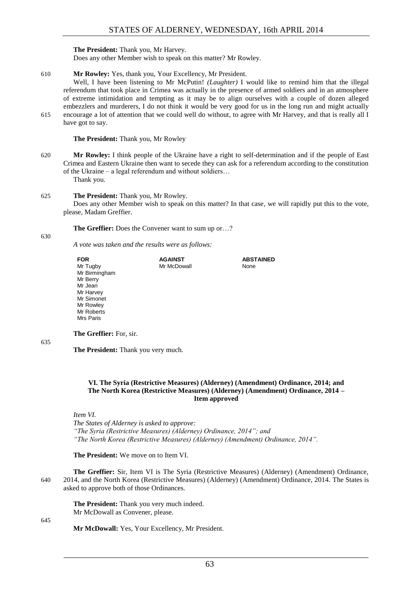**The President:** Thank you, Mr Harvey.

Does any other Member wish to speak on this matter? Mr Rowley.

610 **Mr Rowley:** Yes, thank you, Your Excellency, Mr President.

Well, I have been listening to Mr McPutin! *(Laughter)* I would like to remind him that the illegal referendum that took place in Crimea was actually in the presence of armed soldiers and in an atmosphere of extreme intimidation and tempting as it may be to align ourselves with a couple of dozen alleged embezzlers and murderers, I do not think it would be very good for us in the long run and might actually 615 encourage a lot of attention that we could well do without, to agree with Mr Harvey, and that is really all I have got to say.

**The President:** Thank you, Mr Rowley

620 **Mr Rowley:** I think people of the Ukraine have a right to self-determination and if the people of East Crimea and Eastern Ukraine then want to secede they can ask for a referendum according to the constitution of the Ukraine – a legal referendum and without soldiers…

Thank you.

**The** 

#### 625 **The President:** Thank you, Mr Rowley.

Does any other Member wish to speak on this matter? In that case, we will rapidly put this to the vote, please, Madam Greffier.

**The Greffier:** Does the Convener want to sum up or…?

630

*A vote was taken and the results were as follows:*

| <b>FOR</b>              | <b>AGAINST</b> | <b>ABSTAINED</b> |
|-------------------------|----------------|------------------|
| Mr Tugby                | Mr McDowall    | None             |
| Mr Birmingham           |                |                  |
| Mr Berry                |                |                  |
| Mr Jean                 |                |                  |
| Mr Harvey               |                |                  |
| Mr Simonet              |                |                  |
| Mr Rowley               |                |                  |
| Mr Roberts              |                |                  |
| Mrs Paris               |                |                  |
|                         |                |                  |
| The Greffier: For, sir. |                |                  |

635

**The President:** Thank you very much.

#### <span id="page-14-0"></span>**VI. The Syria (Restrictive Measures) (Alderney) (Amendment) Ordinance, 2014; and The North Korea (Restrictive Measures) (Alderney) (Amendment) Ordinance, 2014 – Item approved**

*Item VI.*

*The States of Alderney is asked to approve: "The Syria (Restrictive Measures) (Alderney) Ordinance, 2014"; and "The North Korea (Restrictive Measures) (Alderney) (Amendment) Ordinance, 2014".*

**The President:** We move on to Item VI.

**The Greffier:** Sir, Item VI is The Syria (Restrictive Measures) (Alderney) (Amendment) Ordinance, 640 2014, and the North Korea (Restrictive Measures) (Alderney) (Amendment) Ordinance, 2014. The States is asked to approve both of those Ordinances.

**The President:** Thank you very much indeed. Mr McDowall as Convener, please.

645

**Mr McDowall:** Yes, Your Excellency, Mr President.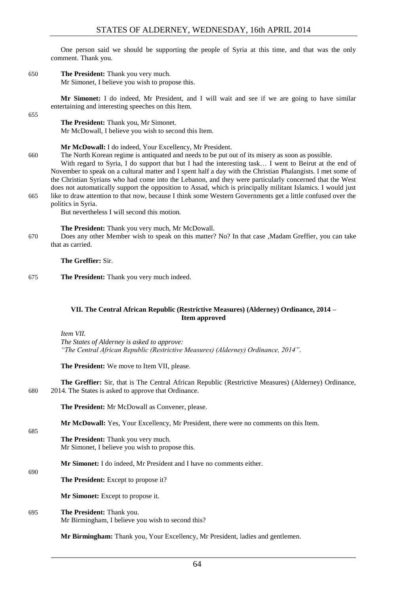One person said we should be supporting the people of Syria at this time, and that was the only comment. Thank you.

650 **The President:** Thank you very much.

Mr Simonet, I believe you wish to propose this.

**Mr Simonet:** I do indeed, Mr President, and I will wait and see if we are going to have similar entertaining and interesting speeches on this Item.

655

## **The President:** Thank you, Mr Simonet.

Mr McDowall, I believe you wish to second this Item.

**Mr McDowall:** I do indeed, Your Excellency, Mr President.

660 The North Korean regime is antiquated and needs to be put out of its misery as soon as possible.

With regard to Syria, I do support that but I had the interesting task… I went to Beirut at the end of November to speak on a cultural matter and I spent half a day with the Christian Phalangists. I met some of the Christian Syrians who had come into the Lebanon, and they were particularly concerned that the West does not automatically support the opposition to Assad, which is principally militant Islamics. I would just 665 like to draw attention to that now, because I think some Western Governments get a little confused over the politics in Syria.

But nevertheless I will second this motion.

## **The President:** Thank you very much, Mr McDowall.

670 Does any other Member wish to speak on this matter? No? In that case ,Madam Greffier, you can take that as carried.

**The Greffier:** Sir.

675 **The President:** Thank you very much indeed.

## <span id="page-15-0"></span>**VII. The Central African Republic (Restrictive Measures) (Alderney) Ordinance, 2014 – Item approved**

*Item VII.*

685

690

*The States of Alderney is asked to approve: "The Central African Republic (Restrictive Measures) (Alderney) Ordinance, 2014".*

**The President:** We move to Item VII, please.

**The Greffier:** Sir, that is The Central African Republic (Restrictive Measures) (Alderney) Ordinance, 680 2014. The States is asked to approve that Ordinance.

**The President:** Mr McDowall as Convener, please.

**Mr McDowall:** Yes, Your Excellency, Mr President, there were no comments on this Item.

**The President:** Thank you very much. Mr Simonet, I believe you wish to propose this.

**Mr Simonet:** I do indeed, Mr President and I have no comments either.

**The President:** Except to propose it?

**Mr Simonet:** Except to propose it.

695 **The President:** Thank you. Mr Birmingham, I believe you wish to second this?

**Mr Birmingham:** Thank you, Your Excellency, Mr President, ladies and gentlemen.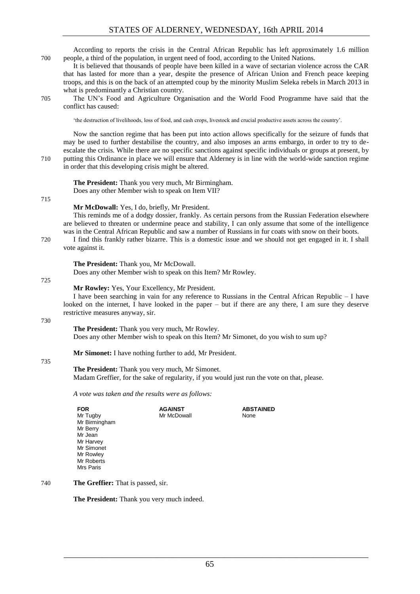According to reports the crisis in the Central African Republic has left approximately 1.6 million 700 people, a third of the population, in urgent need of food, according to the United Nations.

It is believed that thousands of people have been killed in a wave of sectarian violence across the CAR that has lasted for more than a year, despite the presence of African Union and French peace keeping troops, and this is on the back of an attempted coup by the minority Muslim Seleka rebels in March 2013 in what is predominantly a Christian country.

705 The UN's Food and Agriculture Organisation and the World Food Programme have said that the conflict has caused:

'the destruction of livelihoods, loss of food, and cash crops, livestock and crucial productive assets across the country'.

Now the sanction regime that has been put into action allows specifically for the seizure of funds that may be used to further destabilise the country, and also imposes an arms embargo, in order to try to deescalate the crisis. While there are no specific sanctions against specific individuals or groups at present, by 710 putting this Ordinance in place we will ensure that Alderney is in line with the world-wide sanction regime in order that this developing crisis might be altered.

**The President:** Thank you very much, Mr Birmingham. Does any other Member wish to speak on Item VII?

#### 715

#### **Mr McDowall:** Yes, I do, briefly, Mr President.

This reminds me of a dodgy dossier, frankly. As certain persons from the Russian Federation elsewhere are believed to threaten or undermine peace and stability, I can only assume that some of the intelligence was in the Central African Republic and saw a number of Russians in fur coats with snow on their boots.

720 I find this frankly rather bizarre. This is a domestic issue and we should not get engaged in it. I shall vote against it.

**The President:** Thank you, Mr McDowall.

Does any other Member wish to speak on this Item? Mr Rowley.

#### 725

#### **Mr Rowley:** Yes, Your Excellency, Mr President.

I have been searching in vain for any reference to Russians in the Central African Republic – I have looked on the internet, I have looked in the paper – but if there are any there, I am sure they deserve restrictive measures anyway, sir.

#### 730

## **The President:** Thank you very much, Mr Rowley.

Does any other Member wish to speak on this Item? Mr Simonet, do you wish to sum up?

**Mr Simonet:** I have nothing further to add, Mr President.

#### 735

**The President:** Thank you very much, Mr Simonet.

Madam Greffier, for the sake of regularity, if you would just run the vote on that, please.

*A vote was taken and the results were as follows:*

| <b>FOR</b>    | <b>AGAINST</b> | <b>ABSTAINED</b> |
|---------------|----------------|------------------|
| Mr Tugby      | Mr McDowall    | None             |
| Mr Birmingham |                |                  |
| Mr Berry      |                |                  |
| Mr Jean       |                |                  |
| Mr Harvey     |                |                  |
| Mr Simonet    |                |                  |
| Mr Rowley     |                |                  |
| Mr Roberts    |                |                  |
| Mrs Paris     |                |                  |
|               |                |                  |

## 740 **The Greffier:** That is passed, sir.

**The President:** Thank you very much indeed.